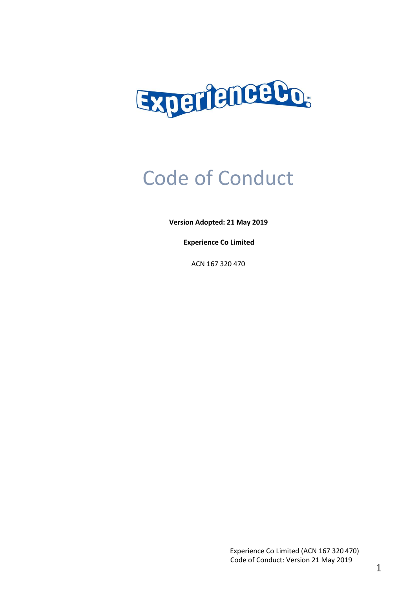

# Code of Conduct

**Version Adopted: 21 May 2019**

**Experience Co Limited**

ACN 167 320 470

Experience Co Limited (ACN 167 320 470) Code of Conduct: Version 21 May 2019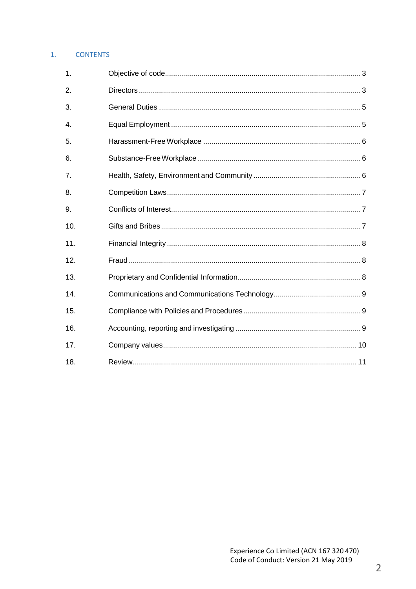## 1. CONTENTS

| 1.  |  |
|-----|--|
| 2.  |  |
| 3.  |  |
| 4.  |  |
| 5.  |  |
| 6.  |  |
| 7.  |  |
| 8.  |  |
| 9.  |  |
| 10. |  |
| 11. |  |
| 12. |  |
| 13. |  |
| 14. |  |
| 15. |  |
| 16. |  |
| 17. |  |
| 18. |  |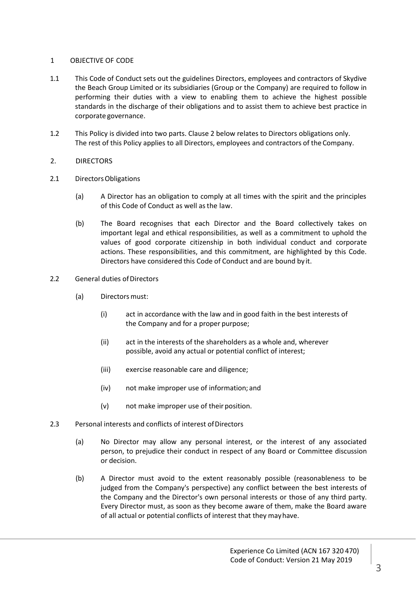## 1 OBJECTIVE OF CODE

- 1.1 This Code of Conduct sets out the guidelines Directors, employees and contractors of Skydive the Beach Group Limited or its subsidiaries (Group or the Company) are required to follow in performing their duties with a view to enabling them to achieve the highest possible standards in the discharge of their obligations and to assist them to achieve best practice in corporate governance.
- 1.2 This Policy is divided into two parts. Clause 2 below relates to Directors obligations only. The rest of this Policy applies to all Directors, employees and contractors of the Company.

#### 2. DIRECTORS

- 2.1 Directors Obligations
	- (a) A Director has an obligation to comply at all times with the spirit and the principles of this Code of Conduct as well asthe law.
	- (b) The Board recognises that each Director and the Board collectively takes on important legal and ethical responsibilities, as well as a commitment to uphold the values of good corporate citizenship in both individual conduct and corporate actions. These responsibilities, and this commitment, are highlighted by this Code. Directors have considered this Code of Conduct and are bound by it.
- 2.2 General duties of Directors
	- (a) Directorsmust:
		- (i) act in accordance with the law and in good faith in the best interests of the Company and for a proper purpose;
		- (ii) act in the interests of the shareholders as a whole and, wherever possible, avoid any actual or potential conflict of interest;
		- (iii) exercise reasonable care and diligence;
		- (iv) not make improper use of information; and
		- (v) not make improper use of their position.
- 2.3 Personal interests and conflicts of interest of Directors
	- (a) No Director may allow any personal interest, or the interest of any associated person, to prejudice their conduct in respect of any Board or Committee discussion or decision.
	- (b) A Director must avoid to the extent reasonably possible (reasonableness to be judged from the Company's perspective) any conflict between the best interests of the Company and the Director's own personal interests or those of any third party. Every Director must, as soon as they become aware of them, make the Board aware of all actual or potential conflicts of interest that they mayhave.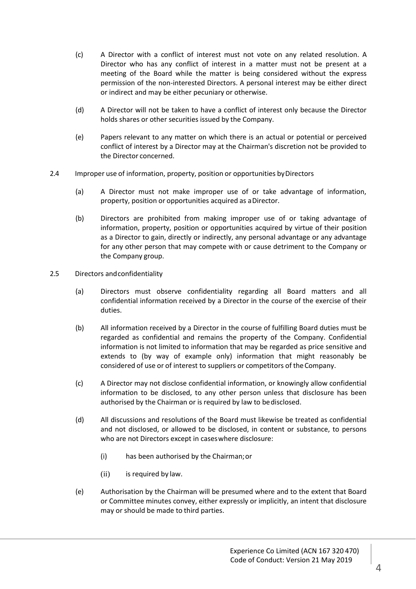- (c) A Director with a conflict of interest must not vote on any related resolution. A Director who has any conflict of interest in a matter must not be present at a meeting of the Board while the matter is being considered without the express permission of the non-interested Directors. A personal interest may be either direct or indirect and may be either pecuniary or otherwise.
- (d) A Director will not be taken to have a conflict of interest only because the Director holds shares or other securities issued by the Company.
- (e) Papers relevant to any matter on which there is an actual or potential or perceived conflict of interest by a Director may at the Chairman's discretion not be provided to the Director concerned.
- 2.4 Improper use of information, property, position or opportunities byDirectors
	- (a) A Director must not make improper use of or take advantage of information, property, position or opportunities acquired as aDirector.
	- (b) Directors are prohibited from making improper use of or taking advantage of information, property, position or opportunities acquired by virtue of their position as a Director to gain, directly or indirectly, any personal advantage or any advantage for any other person that may compete with or cause detriment to the Company or the Company group.
- 2.5 Directors andconfidentiality
	- (a) Directors must observe confidentiality regarding all Board matters and all confidential information received by a Director in the course of the exercise of their duties.
	- (b) All information received by a Director in the course of fulfilling Board duties must be regarded as confidential and remains the property of the Company. Confidential information is not limited to information that may be regarded as price sensitive and extends to (by way of example only) information that might reasonably be considered of use or of interest to suppliers or competitors of theCompany.
	- (c) A Director may not disclose confidential information, or knowingly allow confidential information to be disclosed, to any other person unless that disclosure has been authorised by the Chairman or is required by law to bedisclosed.
	- (d) All discussions and resolutions of the Board must likewise be treated as confidential and not disclosed, or allowed to be disclosed, in content or substance, to persons who are not Directors except in caseswhere disclosure:
		- (i) has been authorised by the Chairman;or
		- (ii) is required by law.
	- (e) Authorisation by the Chairman will be presumed where and to the extent that Board or Committee minutes convey, either expressly or implicitly, an intent that disclosure may or should be made to third parties.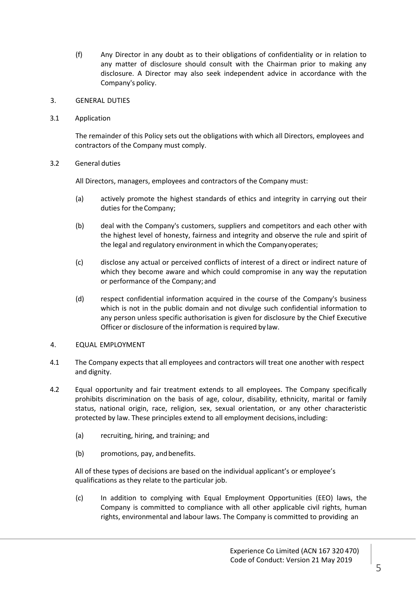- (f) Any Director in any doubt as to their obligations of confidentiality or in relation to any matter of disclosure should consult with the Chairman prior to making any disclosure. A Director may also seek independent advice in accordance with the Company's policy.
- 3. GENERAL DUTIES
- 3.1 Application

The remainder of this Policy sets out the obligations with which all Directors, employees and contractors of the Company must comply.

## 3.2 General duties

All Directors, managers, employees and contractors of the Company must:

- (a) actively promote the highest standards of ethics and integrity in carrying out their duties for the Company;
- (b) deal with the Company's customers, suppliers and competitors and each other with the highest level of honesty, fairness and integrity and observe the rule and spirit of the legal and regulatory environment in which the Companyoperates;
- (c) disclose any actual or perceived conflicts of interest of a direct or indirect nature of which they become aware and which could compromise in any way the reputation or performance of the Company;and
- (d) respect confidential information acquired in the course of the Company's business which is not in the public domain and not divulge such confidential information to any person unless specific authorisation is given for disclosure by the Chief Executive Officer or disclosure of the information is required by law.
- 4. EQUAL EMPLOYMENT
- 4.1 The Company expects that all employees and contractors will treat one another with respect and dignity.
- 4.2 Equal opportunity and fair treatment extends to all employees. The Company specifically prohibits discrimination on the basis of age, colour, disability, ethnicity, marital or family status, national origin, race, religion, sex, sexual orientation, or any other characteristic protected by law. These principles extend to all employment decisions,including:
	- (a) recruiting, hiring, and training; and
	- (b) promotions, pay, andbenefits.

All of these types of decisions are based on the individual applicant's or employee's qualifications as they relate to the particular job.

(c) In addition to complying with Equal Employment Opportunities (EEO) laws, the Company is committed to compliance with all other applicable civil rights, human rights, environmental and labour laws. The Company is committed to providing an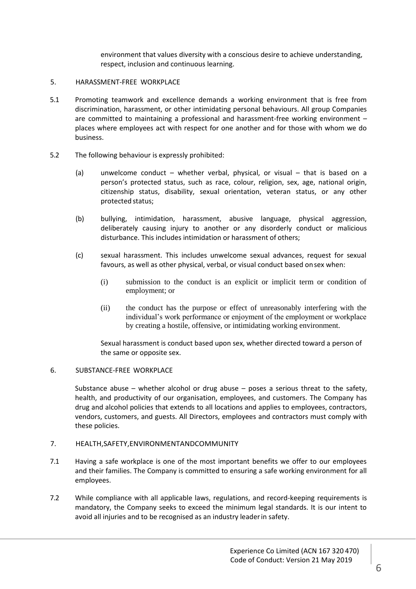environment that values diversity with a conscious desire to achieve understanding, respect, inclusion and continuous learning.

#### 5. HARASSMENT-FREE WORKPLACE

- 5.1 Promoting teamwork and excellence demands a working environment that is free from discrimination, harassment, or other intimidating personal behaviours. All group Companies are committed to maintaining a professional and harassment-free working environment – places where employees act with respect for one another and for those with whom we do business.
- 5.2 The following behaviour is expressly prohibited:
	- (a) unwelcome conduct whether verbal, physical, or visual that is based on a person's protected status, such as race, colour, religion, sex, age, national origin, citizenship status, disability, sexual orientation, veteran status, or any other protected status;
	- (b) bullying, intimidation, harassment, abusive language, physical aggression, deliberately causing injury to another or any disorderly conduct or malicious disturbance. This includes intimidation or harassment of others;
	- (c) sexual harassment. This includes unwelcome sexual advances, request for sexual favours, as well as other physical, verbal, or visual conduct based onsex when:
		- (i) submission to the conduct is an explicit or implicit term or condition of employment; or
		- (ii) the conduct has the purpose or effect of unreasonably interfering with the individual's work performance or enjoyment of the employment or workplace by creating a hostile, offensive, or intimidating working environment.

Sexual harassment is conduct based upon sex, whether directed toward a person of the same or opposite sex.

#### 6. SUBSTANCE-FREE WORKPLACE

Substance abuse – whether alcohol or drug abuse – poses a serious threat to the safety, health, and productivity of our organisation, employees, and customers. The Company has drug and alcohol policies that extends to all locations and applies to employees, contractors, vendors, customers, and guests. All Directors, employees and contractors must comply with these policies.

#### 7. HEALTH,SAFETY,ENVIRONMENTANDCOMMUNITY

- 7.1 Having a safe workplace is one of the most important benefits we offer to our employees and their families. The Company is committed to ensuring a safe working environment for all employees.
- 7.2 While compliance with all applicable laws, regulations, and record-keeping requirements is mandatory, the Company seeks to exceed the minimum legal standards. It is our intent to avoid all injuries and to be recognised as an industry leaderin safety.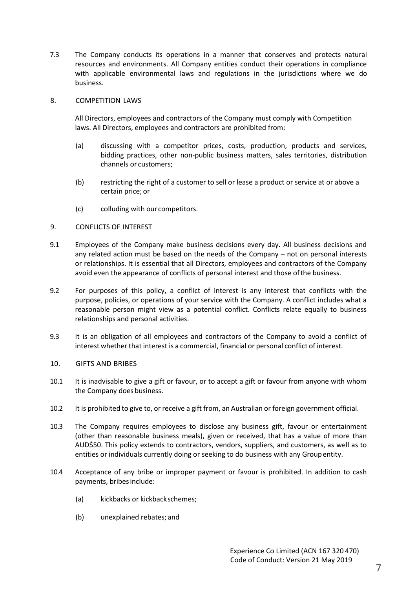7.3 The Company conducts its operations in a manner that conserves and protects natural resources and environments. All Company entities conduct their operations in compliance with applicable environmental laws and regulations in the jurisdictions where we do business.

#### 8. COMPETITION LAWS

All Directors, employees and contractors of the Company must comply with Competition laws. All Directors, employees and contractors are prohibited from:

- (a) discussing with a competitor prices, costs, production, products and services, bidding practices, other non-public business matters, sales territories, distribution channels or customers;
- (b) restricting the right of a customer to sell or lease a product or service at or above a certain price; or
- (c) colluding with our competitors.

## 9. CONFLICTS OF INTEREST

- 9.1 Employees of the Company make business decisions every day. All business decisions and any related action must be based on the needs of the Company – not on personal interests or relationships. It is essential that all Directors, employees and contractors of the Company avoid even the appearance of conflicts of personal interest and those ofthe business.
- 9.2 For purposes of this policy, a conflict of interest is any interest that conflicts with the purpose, policies, or operations of your service with the Company. A conflict includes what a reasonable person might view as a potential conflict. Conflicts relate equally to business relationships and personal activities.
- 9.3 It is an obligation of all employees and contractors of the Company to avoid a conflict of interest whether that interest is a commercial, financial or personal conflict of interest.

## 10. GIFTS AND BRIBES

- 10.1 It is inadvisable to give a gift or favour, or to accept a gift or favour from anyone with whom the Company does business.
- 10.2 It is prohibited to give to, or receive a gift from, an Australian or foreign government official.
- 10.3 The Company requires employees to disclose any business gift, favour or entertainment (other than reasonable business meals), given or received, that has a value of more than AUD\$50. This policy extends to contractors, vendors, suppliers, and customers, as well as to entities or individuals currently doing or seeking to do business with any Groupentity.
- 10.4 Acceptance of any bribe or improper payment or favour is prohibited. In addition to cash payments, bribesinclude:
	- (a) kickbacks or kickbackschemes;
	- (b) unexplained rebates; and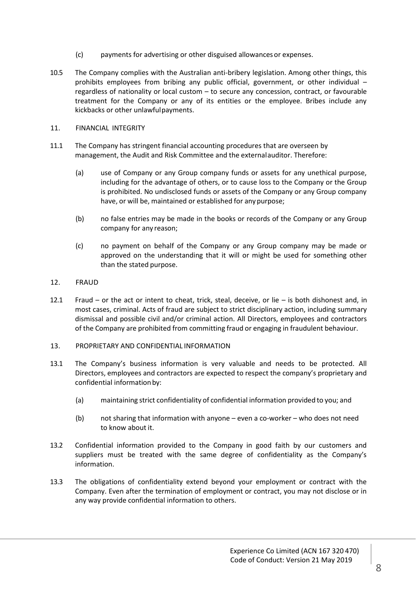- (c) payments for advertising or other disguised allowancesor expenses.
- 10.5 The Company complies with the Australian anti-bribery legislation. Among other things, this prohibits employees from bribing any public official, government, or other individual – regardless of nationality or local custom – to secure any concession, contract, or favourable treatment for the Company or any of its entities or the employee. Bribes include any kickbacks or other unlawfulpayments.
- 11. FINANCIAL INTEGRITY
- 11.1 The Company has stringent financial accounting procedures that are overseen by management, the Audit and Risk Committee and the externalauditor. Therefore:
	- (a) use of Company or any Group company funds or assets for any unethical purpose, including for the advantage of others, or to cause loss to the Company or the Group is prohibited. No undisclosed funds or assets of the Company or any Group company have, or will be, maintained or established for anypurpose;
	- (b) no false entries may be made in the books or records of the Company or any Group company for any reason;
	- (c) no payment on behalf of the Company or any Group company may be made or approved on the understanding that it will or might be used for something other than the stated purpose.
- 12. FRAUD
- 12.1 Fraud or the act or intent to cheat, trick, steal, deceive, or lie is both dishonest and, in most cases, criminal. Acts of fraud are subject to strict disciplinary action, including summary dismissal and possible civil and/or criminal action. All Directors, employees and contractors of the Company are prohibited from committing fraud or engaging in fraudulent behaviour.
- 13. PROPRIETARY AND CONFIDENTIAL INFORMATION
- 13.1 The Company's business information is very valuable and needs to be protected. All Directors, employees and contractors are expected to respect the company's proprietary and confidential information by:
	- (a) maintaining strict confidentiality of confidential information provided to you; and
	- (b) not sharing that information with anyone even a co-worker who does not need to know about it.
- 13.2 Confidential information provided to the Company in good faith by our customers and suppliers must be treated with the same degree of confidentiality as the Company's information.
- 13.3 The obligations of confidentiality extend beyond your employment or contract with the Company. Even after the termination of employment or contract, you may not disclose or in any way provide confidential information to others.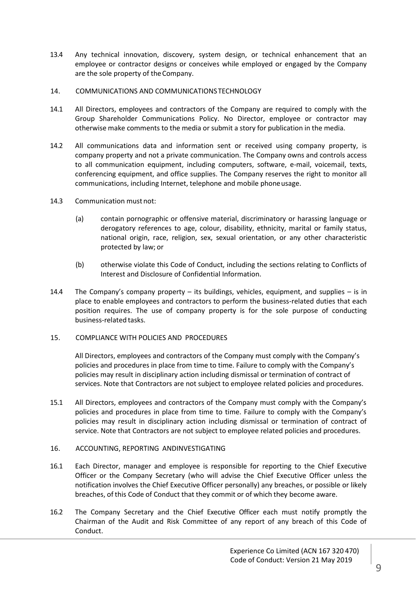- 13.4 Any technical innovation, discovery, system design, or technical enhancement that an employee or contractor designs or conceives while employed or engaged by the Company are the sole property of the Company.
- 14. COMMUNICATIONS AND COMMUNICATIONSTECHNOLOGY
- 14.1 All Directors, employees and contractors of the Company are required to comply with the Group Shareholder Communications Policy. No Director, employee or contractor may otherwise make comments to the media or submit a story for publication in the media.
- 14.2 All communications data and information sent or received using company property, is company property and not a private communication. The Company owns and controls access to all communication equipment, including computers, software, e-mail, voicemail, texts, conferencing equipment, and office supplies. The Company reserves the right to monitor all communications, including Internet, telephone and mobile phoneusage.
- 14.3 Communication must not:
	- (a) contain pornographic or offensive material, discriminatory or harassing language or derogatory references to age, colour, disability, ethnicity, marital or family status, national origin, race, religion, sex, sexual orientation, or any other characteristic protected by law; or
	- (b) otherwise violate this Code of Conduct, including the sections relating to Conflicts of Interest and Disclosure of Confidential Information.
- 14.4 The Company's company property  $-$  its buildings, vehicles, equipment, and supplies  $-$  is in place to enable employees and contractors to perform the business-related duties that each position requires. The use of company property is for the sole purpose of conducting business-related tasks.
- 15. COMPLIANCE WITH POLICIES AND PROCEDURES

All Directors, employees and contractors of the Company must comply with the Company's policies and procedures in place from time to time. Failure to comply with the Company's policies may result in disciplinary action including dismissal or termination of contract of services. Note that Contractors are not subject to employee related policies and procedures.

- 15.1 All Directors, employees and contractors of the Company must comply with the Company's policies and procedures in place from time to time. Failure to comply with the Company's policies may result in disciplinary action including dismissal or termination of contract of service. Note that Contractors are not subject to employee related policies and procedures.
- 16. ACCOUNTING, REPORTING ANDINVESTIGATING
- 16.1 Each Director, manager and employee is responsible for reporting to the Chief Executive Officer or the Company Secretary (who will advise the Chief Executive Officer unless the notification involves the Chief Executive Officer personally) any breaches, or possible or likely breaches, of this Code of Conduct that they commit or of which they become aware.
- 16.2 The Company Secretary and the Chief Executive Officer each must notify promptly the Chairman of the Audit and Risk Committee of any report of any breach of this Code of Conduct.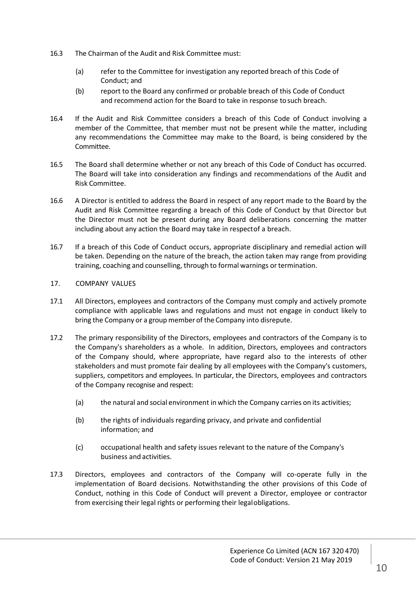- 16.3 The Chairman of the Audit and Risk Committee must:
	- (a) refer to the Committee for investigation any reported breach of this Code of Conduct; and
	- (b) report to the Board any confirmed or probable breach of this Code of Conduct and recommend action for the Board to take in response tosuch breach.
- 16.4 If the Audit and Risk Committee considers a breach of this Code of Conduct involving a member of the Committee, that member must not be present while the matter, including any recommendations the Committee may make to the Board, is being considered by the Committee.
- 16.5 The Board shall determine whether or not any breach of this Code of Conduct has occurred. The Board will take into consideration any findings and recommendations of the Audit and Risk Committee.
- 16.6 A Director is entitled to address the Board in respect of any report made to the Board by the Audit and Risk Committee regarding a breach of this Code of Conduct by that Director but the Director must not be present during any Board deliberations concerning the matter including about any action the Board may take in respectof a breach.
- 16.7 If a breach of this Code of Conduct occurs, appropriate disciplinary and remedial action will be taken. Depending on the nature of the breach, the action taken may range from providing training, coaching and counselling, through to formal warnings or termination.

## 17. COMPANY VALUES

- 17.1 All Directors, employees and contractors of the Company must comply and actively promote compliance with applicable laws and regulations and must not engage in conduct likely to bring the Company or a group member of the Company into disrepute.
- 17.2 The primary responsibility of the Directors, employees and contractors of the Company is to the Company's shareholders as a whole. In addition, Directors, employees and contractors of the Company should, where appropriate, have regard also to the interests of other stakeholders and must promote fair dealing by all employees with the Company's customers, suppliers, competitors and employees. In particular, the Directors, employees and contractors of the Company recognise and respect:
	- (a) the natural and social environment in which the Company carries on its activities;
	- (b) the rights of individuals regarding privacy, and private and confidential information; and
	- (c) occupational health and safety issues relevant to the nature of the Company's business and activities.
- 17.3 Directors, employees and contractors of the Company will co-operate fully in the implementation of Board decisions. Notwithstanding the other provisions of this Code of Conduct, nothing in this Code of Conduct will prevent a Director, employee or contractor from exercising their legal rights or performing their legalobligations.